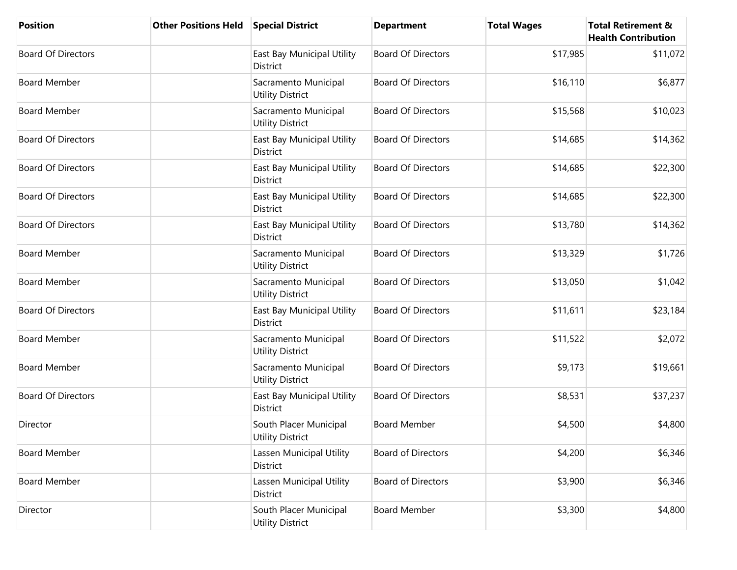| <b>Position</b>           | <b>Other Positions Held</b> | <b>Special District</b>                           | <b>Department</b>         | <b>Total Wages</b> | <b>Total Retirement &amp;</b><br><b>Health Contribution</b> |
|---------------------------|-----------------------------|---------------------------------------------------|---------------------------|--------------------|-------------------------------------------------------------|
| <b>Board Of Directors</b> |                             | East Bay Municipal Utility<br>District            | <b>Board Of Directors</b> | \$17,985           | \$11,072                                                    |
| <b>Board Member</b>       |                             | Sacramento Municipal<br><b>Utility District</b>   | <b>Board Of Directors</b> | \$16,110           | \$6,877                                                     |
| <b>Board Member</b>       |                             | Sacramento Municipal<br><b>Utility District</b>   | <b>Board Of Directors</b> | \$15,568           | \$10,023                                                    |
| <b>Board Of Directors</b> |                             | East Bay Municipal Utility<br><b>District</b>     | <b>Board Of Directors</b> | \$14,685           | \$14,362                                                    |
| <b>Board Of Directors</b> |                             | East Bay Municipal Utility<br>District            | <b>Board Of Directors</b> | \$14,685           | \$22,300                                                    |
| <b>Board Of Directors</b> |                             | East Bay Municipal Utility<br>District            | <b>Board Of Directors</b> | \$14,685           | \$22,300                                                    |
| <b>Board Of Directors</b> |                             | East Bay Municipal Utility<br>District            | <b>Board Of Directors</b> | \$13,780           | \$14,362                                                    |
| <b>Board Member</b>       |                             | Sacramento Municipal<br><b>Utility District</b>   | <b>Board Of Directors</b> | \$13,329           | \$1,726                                                     |
| <b>Board Member</b>       |                             | Sacramento Municipal<br><b>Utility District</b>   | <b>Board Of Directors</b> | \$13,050           | \$1,042                                                     |
| <b>Board Of Directors</b> |                             | East Bay Municipal Utility<br>District            | <b>Board Of Directors</b> | \$11,611           | \$23,184                                                    |
| <b>Board Member</b>       |                             | Sacramento Municipal<br><b>Utility District</b>   | <b>Board Of Directors</b> | \$11,522           | \$2,072                                                     |
| <b>Board Member</b>       |                             | Sacramento Municipal<br><b>Utility District</b>   | <b>Board Of Directors</b> | \$9,173            | \$19,661                                                    |
| <b>Board Of Directors</b> |                             | East Bay Municipal Utility<br>District            | <b>Board Of Directors</b> | \$8,531            | \$37,237                                                    |
| Director                  |                             | South Placer Municipal<br><b>Utility District</b> | <b>Board Member</b>       | \$4,500            | \$4,800                                                     |
| <b>Board Member</b>       |                             | Lassen Municipal Utility<br>District              | <b>Board of Directors</b> | \$4,200            | \$6,346                                                     |
| <b>Board Member</b>       |                             | Lassen Municipal Utility<br>District              | <b>Board of Directors</b> | \$3,900            | \$6,346                                                     |
| Director                  |                             | South Placer Municipal<br><b>Utility District</b> | <b>Board Member</b>       | \$3,300            | \$4,800                                                     |